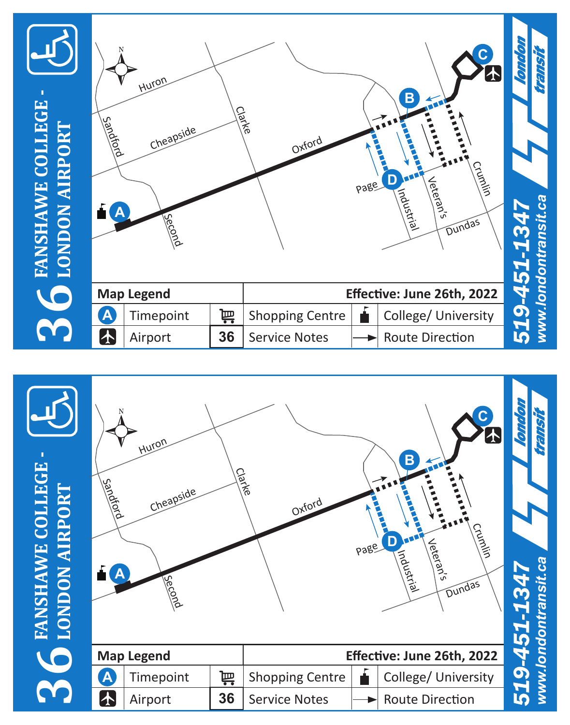

**366** FANSHAWE COLLEGE -**FANSHAWE COLLEGE - LONDON AIRPORT**

| Sandhold<br>А | Huron<br>Cheapside<br>Second |    | Charke<br>Oxford       | page | $\mathbf{C}^{\top}$<br>ෑ<br>B<br>Crumlin<br>D<br>Jeteran's<br>Industrial<br>Dundas | 519-451-1347 | www.londontransit.ca |
|---------------|------------------------------|----|------------------------|------|------------------------------------------------------------------------------------|--------------|----------------------|
|               | <b>Map Legend</b>            |    |                        |      | Effective: June 26th, 2022                                                         |              |                      |
| $\mathbf{A}$  | Timepoint                    | 岢  | <b>Shopping Centre</b> |      | College/ University                                                                |              |                      |
| $\bf{A}$      | Airport                      | 36 | <b>Service Notes</b>   |      | <b>Route Direction</b>                                                             |              |                      |

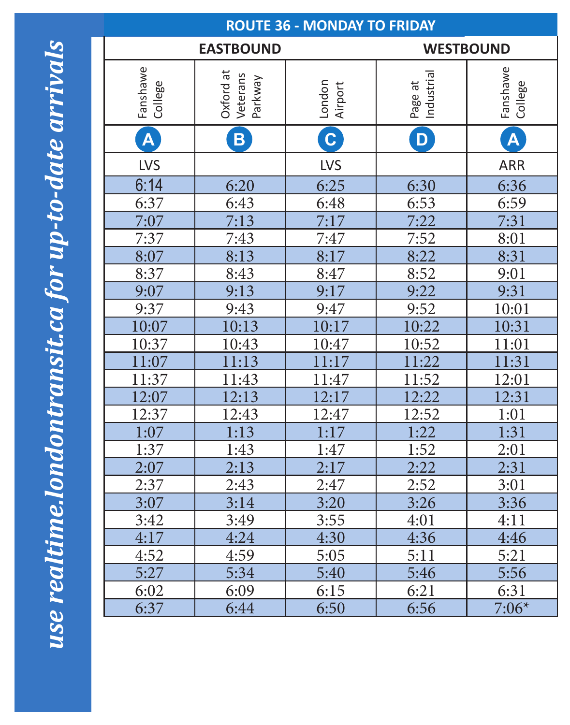use realtime.londontransit.ca for up-to-date arrivals *use realtime.londontransit.ca for up-to-date arrivals*

| <b>ROUTE 36 - MONDAY TO FRIDAY</b> |                                  |                   |                       |                         |  |
|------------------------------------|----------------------------------|-------------------|-----------------------|-------------------------|--|
|                                    | <b>EASTBOUND</b>                 | <b>WESTBOUND</b>  |                       |                         |  |
| Fanshawe<br>College                | Oxford at<br>Veterans<br>Parkway | London<br>Airport | Page at<br>Industrial | Fanshawe<br>College     |  |
| $\overline{\mathsf{A}}$            | B                                | $\overline{c}$    | D                     | $\overline{\mathsf{A}}$ |  |
| LVS                                |                                  | LVS               |                       | ARR                     |  |
| 6:14                               | 6:20                             | 6:25              | 6:30                  | 6:36                    |  |
| 6:37                               | 6:43                             | 6:48              | 6:53                  | 6:59                    |  |
| 7:07                               | 7:13                             | 7:17              | 7:22                  | 7:31                    |  |
| 7:37                               | 7:43                             | 7:47              | 7:52                  | 8:01                    |  |
| 8:07                               | 8:13                             | 8:17              | 8:22                  | 8:31                    |  |
| 8:37                               | 8:43                             | 8:47              | 8:52                  | 9:01                    |  |
| 9:07                               | 9:13                             | 9:17              | 9:22                  | 9:31                    |  |
| 9:37                               | 9:43                             | 9:47              | 9:52                  | 10:01                   |  |
| 10:07                              | 10:13                            | 10:17             | 10:22                 | 10:31                   |  |
| 10:37                              | 10:43                            | 10:47             | 10:52                 | 11:01                   |  |
| 11:07                              | 11:13                            | 11:17             | 11:22                 | 11:31                   |  |
| 11:37                              | 11:43                            | 11:47             | 11:52                 | 12:01                   |  |
| 12:07                              | 12:13                            | 12:17             | 12:22                 | 12:31                   |  |
| 12:37                              | 12:43                            | 12:47             | 12:52                 | 1:01                    |  |
| 1:07                               | 1:13                             | 1:17              | 1:22                  | 1:31                    |  |
| 1:37                               | 1:43                             | 1:47              | 1:52                  | $\frac{2:01}{2:31}$     |  |
| 2:07                               | $\overline{2:13}$                | 2:17              | 2:22                  |                         |  |
| 2:37                               | 2:43                             | 2:47              | 2:52                  | 3:01                    |  |
| 3:07                               | 3:14                             | 3:20              | 3:26                  | 3:36                    |  |
| 3:42                               | 3:49                             | 3:55              | 4:01                  | 4:11                    |  |
| 4:17                               | 4:24                             | 4:30              | 4:36                  | 4:46                    |  |
| 4:52                               | 4:59                             | 5:05              | 5:11                  | 5:21                    |  |
| 5:27                               | 5:34                             | 5:40              | 5:46                  | 5:56                    |  |
| 6:02                               | 6:09                             | 6:15              | 6:21                  | 6:31                    |  |
| 6:37                               | 6:44                             | 6:50              | 6:56                  | $7:06*$                 |  |